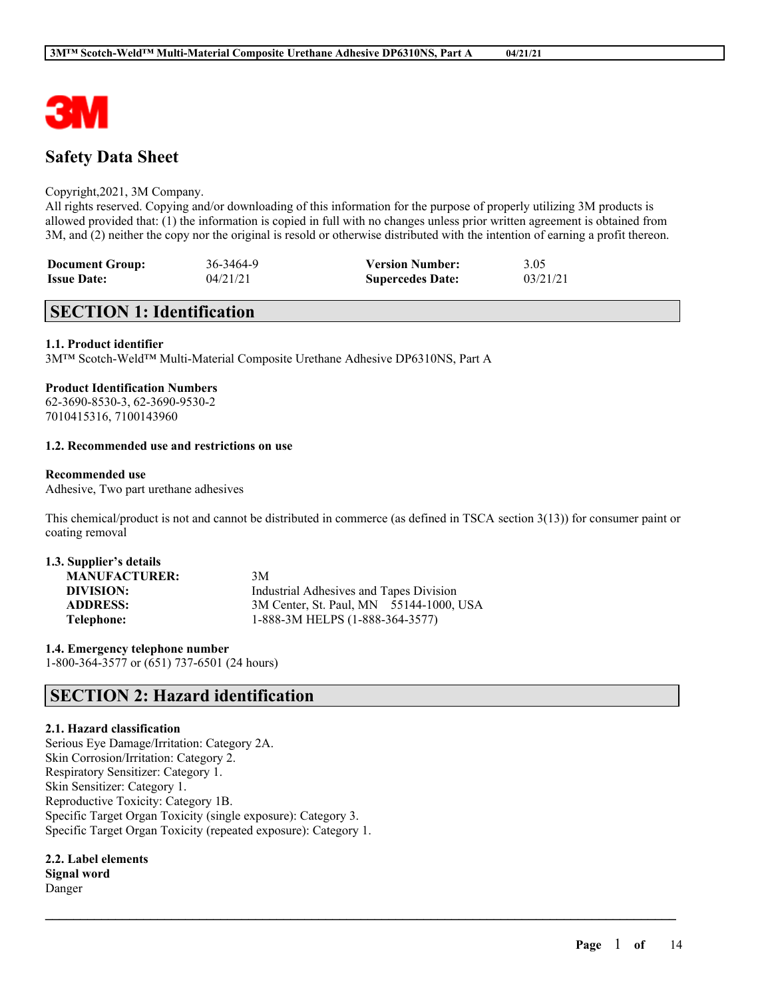

# **Safety Data Sheet**

## Copyright,2021, 3M Company.

All rights reserved. Copying and/or downloading of this information for the purpose of properly utilizing 3M products is allowed provided that: (1) the information is copied in full with no changes unless prior written agreement is obtained from 3M, and (2) neither the copy nor the original is resold or otherwise distributed with the intention of earning a profit thereon.

| <b>Document Group:</b> | 36-3464-9 | <b>Version Number:</b>  | 3.05     |
|------------------------|-----------|-------------------------|----------|
| <b>Issue Date:</b>     | 04/21/21  | <b>Supercedes Date:</b> | 03/21/21 |

# **SECTION 1: Identification**

## **1.1. Product identifier**

3M™ Scotch-Weld™ Multi-Material Composite Urethane Adhesive DP6310NS, Part A

## **Product Identification Numbers**

62-3690-8530-3, 62-3690-9530-2 7010415316, 7100143960

## **1.2. Recommended use and restrictions on use**

## **Recommended use**

Adhesive, Two part urethane adhesives

This chemical/product is not and cannot be distributed in commerce (as defined in TSCA section 3(13)) for consumer paint or coating removal

 $\mathcal{L}_\mathcal{L} = \mathcal{L}_\mathcal{L} = \mathcal{L}_\mathcal{L} = \mathcal{L}_\mathcal{L} = \mathcal{L}_\mathcal{L} = \mathcal{L}_\mathcal{L} = \mathcal{L}_\mathcal{L} = \mathcal{L}_\mathcal{L} = \mathcal{L}_\mathcal{L} = \mathcal{L}_\mathcal{L} = \mathcal{L}_\mathcal{L} = \mathcal{L}_\mathcal{L} = \mathcal{L}_\mathcal{L} = \mathcal{L}_\mathcal{L} = \mathcal{L}_\mathcal{L} = \mathcal{L}_\mathcal{L} = \mathcal{L}_\mathcal{L}$ 

| 1.3. Supplier's details |                                         |
|-------------------------|-----------------------------------------|
| <b>MANUFACTURER:</b>    | 3M                                      |
| DIVISION:               | Industrial Adhesives and Tapes Division |
| <b>ADDRESS:</b>         | 3M Center, St. Paul, MN 55144-1000, USA |
| Telephone:              | 1-888-3M HELPS (1-888-364-3577)         |

**1.4. Emergency telephone number** 1-800-364-3577 or (651) 737-6501 (24 hours)

## **SECTION 2: Hazard identification**

## **2.1. Hazard classification**

Serious Eye Damage/Irritation: Category 2A. Skin Corrosion/Irritation: Category 2. Respiratory Sensitizer: Category 1. Skin Sensitizer: Category 1. Reproductive Toxicity: Category 1B. Specific Target Organ Toxicity (single exposure): Category 3. Specific Target Organ Toxicity (repeated exposure): Category 1.

**2.2. Label elements Signal word** Danger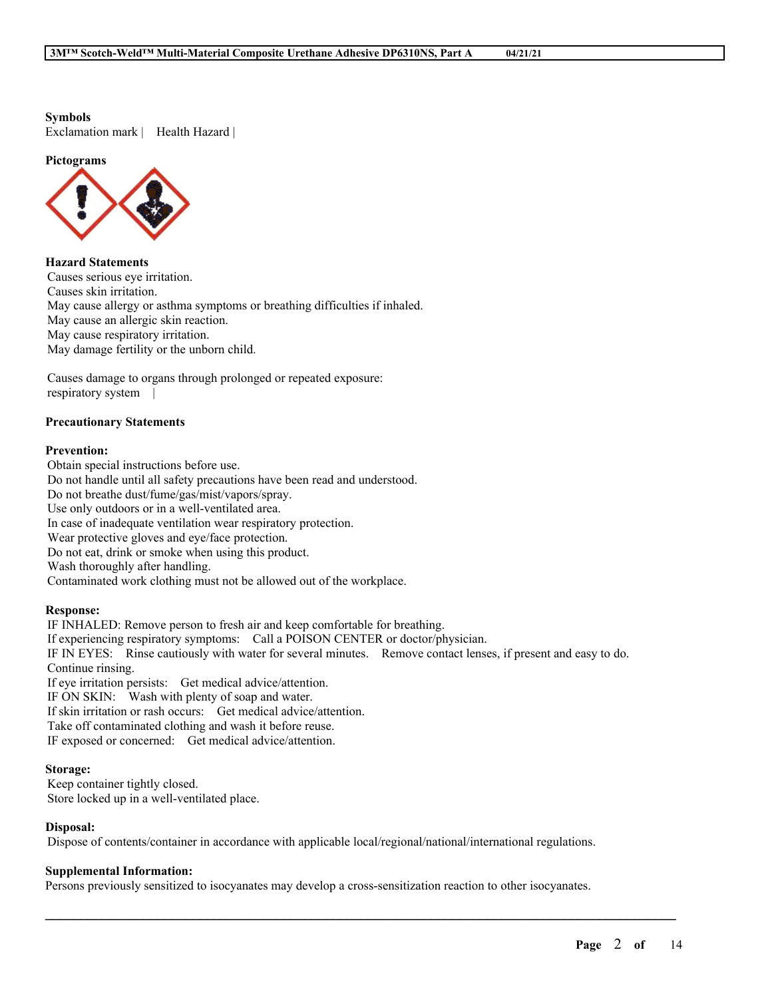**Symbols**

Exclamation mark | Health Hazard |

#### **Pictograms**



**Hazard Statements** Causes serious eye irritation. Causes skin irritation. May cause allergy or asthma symptoms or breathing difficulties if inhaled. May cause an allergic skin reaction. May cause respiratory irritation. May damage fertility or the unborn child.

Causes damage to organs through prolonged or repeated exposure: respiratory system |

## **Precautionary Statements**

## **Prevention:**

Obtain special instructions before use. Do not handle until all safety precautions have been read and understood. Do not breathe dust/fume/gas/mist/vapors/spray. Use only outdoors or in a well-ventilated area. In case of inadequate ventilation wear respiratory protection. Wear protective gloves and eye/face protection. Do not eat, drink or smoke when using this product. Wash thoroughly after handling. Contaminated work clothing must not be allowed out of the workplace.

## **Response:**

IF INHALED: Remove person to fresh air and keep comfortable for breathing. If experiencing respiratory symptoms: Call a POISON CENTER or doctor/physician. IF IN EYES: Rinse cautiously with water for several minutes. Remove contact lenses, if present and easy to do. Continue rinsing. If eye irritation persists: Get medical advice/attention. IF ON SKIN: Wash with plenty of soap and water. If skin irritation or rash occurs: Get medical advice/attention. Take off contaminated clothing and wash it before reuse. IF exposed or concerned: Get medical advice/attention.

#### **Storage:**

Keep container tightly closed. Store locked up in a well-ventilated place.

## **Disposal:**

Dispose of contents/container in accordance with applicable local/regional/national/international regulations.

## **Supplemental Information:**

Persons previously sensitized to isocyanates may develop a cross-sensitization reaction to other isocyanates.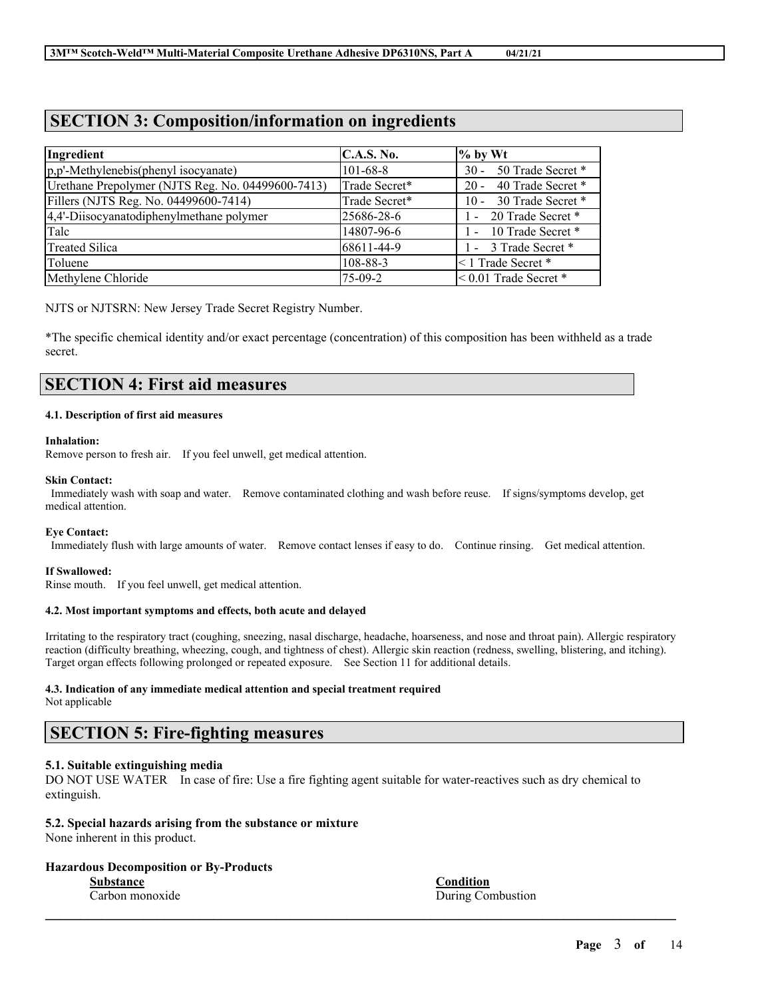## **SECTION 3: Composition/information on ingredients**

| Ingredient                                        | C.A.S. No.     | $\%$ by Wt                  |
|---------------------------------------------------|----------------|-----------------------------|
| p,p'-Methylenebis(phenyl isocyanate)              | $101 - 68 - 8$ | 50 Trade Secret *<br>$30 -$ |
| Urethane Prepolymer (NJTS Reg. No. 04499600-7413) | Trade Secret*  | 40 Trade Secret *<br>$20 -$ |
| Fillers (NJTS Reg. No. 04499600-7414)             | Trade Secret*  | 30 Trade Secret *<br>$10 -$ |
| 4,4'-Diisocyanatodiphenylmethane polymer          | 25686-28-6     | - 20 Trade Secret *         |
| Talc                                              | 14807-96-6     | 10 Trade Secret *<br>$\sim$ |
| <b>Treated Silica</b>                             | 68611-44-9     | 1 - 3 Trade Secret *        |
| Toluene                                           | 108-88-3       | <1 Trade Secret *           |
| Methylene Chloride                                | $75-09-2$      | $< 0.01$ Trade Secret $*$   |

NJTS or NJTSRN: New Jersey Trade Secret Registry Number.

\*The specific chemical identity and/or exact percentage (concentration) of this composition has been withheld as a trade secret.

## **SECTION 4: First aid measures**

## **4.1. Description of first aid measures**

#### **Inhalation:**

Remove person to fresh air. If you feel unwell, get medical attention.

#### **Skin Contact:**

Immediately wash with soap and water. Remove contaminated clothing and wash before reuse. If signs/symptoms develop, get medical attention.

#### **Eye Contact:**

Immediately flush with large amounts of water. Remove contact lenses if easy to do. Continue rinsing. Get medical attention.

## **If Swallowed:**

Rinse mouth. If you feel unwell, get medical attention.

## **4.2. Most important symptoms and effects, both acute and delayed**

Irritating to the respiratory tract (coughing, sneezing, nasal discharge, headache, hoarseness, and nose and throat pain). Allergic respiratory reaction (difficulty breathing, wheezing, cough, and tightness of chest). Allergic skin reaction (redness, swelling, blistering, and itching). Target organ effects following prolonged or repeated exposure. See Section 11 for additional details.

## **4.3. Indication of any immediate medical attention and special treatment required**

Not applicable

## **SECTION 5: Fire-fighting measures**

## **5.1. Suitable extinguishing media**

DO NOT USE WATER In case of fire: Use a fire fighting agent suitable for water-reactives such as dry chemical to extinguish.

 $\mathcal{L}_\mathcal{L} = \mathcal{L}_\mathcal{L} = \mathcal{L}_\mathcal{L} = \mathcal{L}_\mathcal{L} = \mathcal{L}_\mathcal{L} = \mathcal{L}_\mathcal{L} = \mathcal{L}_\mathcal{L} = \mathcal{L}_\mathcal{L} = \mathcal{L}_\mathcal{L} = \mathcal{L}_\mathcal{L} = \mathcal{L}_\mathcal{L} = \mathcal{L}_\mathcal{L} = \mathcal{L}_\mathcal{L} = \mathcal{L}_\mathcal{L} = \mathcal{L}_\mathcal{L} = \mathcal{L}_\mathcal{L} = \mathcal{L}_\mathcal{L}$ 

## **5.2. Special hazards arising from the substance or mixture**

None inherent in this product.

## **Hazardous Decomposition or By-Products**

**Substance Condition** Carbon monoxide During Combustion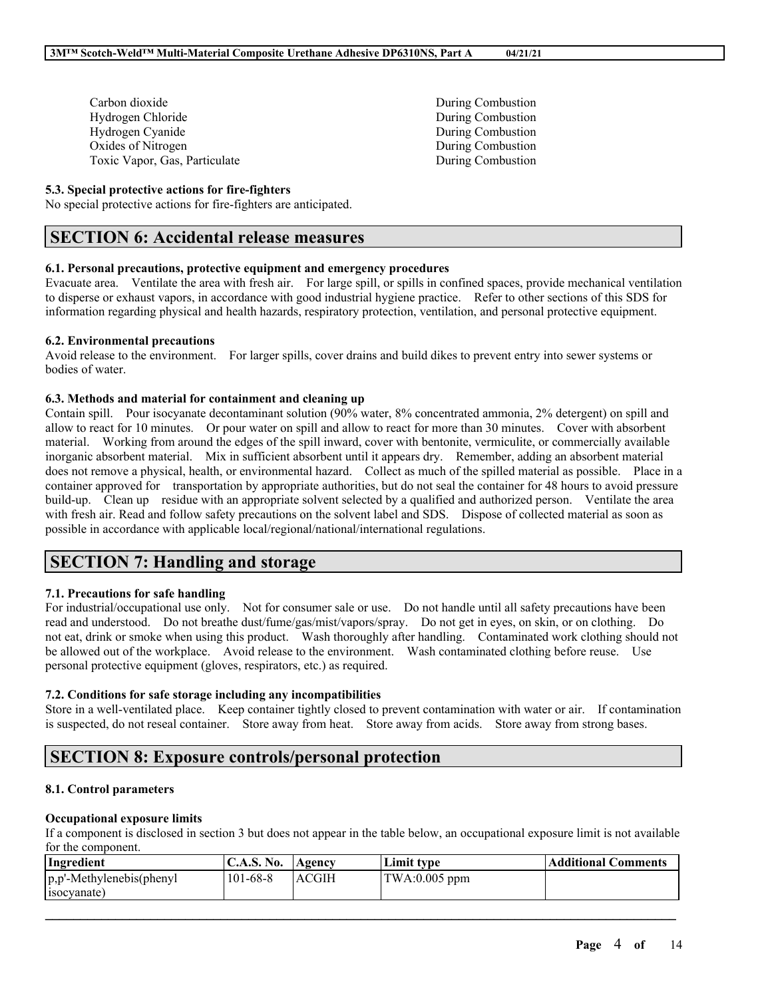| Carbon dioxide                |
|-------------------------------|
| Hydrogen Chloride             |
| Hydrogen Cyanide              |
| Oxides of Nitrogen            |
| Toxic Vapor, Gas, Particulate |

## **5.3. Special protective actions for fire-fighters**

No special protective actions for fire-fighters are anticipated.

## **SECTION 6: Accidental release measures**

## **6.1. Personal precautions, protective equipment and emergency procedures**

Evacuate area. Ventilate the area with fresh air. For large spill, or spills in confined spaces, provide mechanical ventilation to disperse or exhaust vapors, in accordance with good industrial hygiene practice. Refer to other sections of this SDS for information regarding physical and health hazards, respiratory protection, ventilation, and personal protective equipment.

## **6.2. Environmental precautions**

Avoid release to the environment. For larger spills, cover drains and build dikes to prevent entry into sewer systems or bodies of water.

## **6.3. Methods and material for containment and cleaning up**

Contain spill. Pour isocyanate decontaminant solution (90% water, 8% concentrated ammonia, 2% detergent) on spill and allow to react for 10 minutes. Or pour water on spill and allow to react for more than 30 minutes. Cover with absorbent material. Working from around the edges of the spill inward, cover with bentonite, vermiculite, or commercially available inorganic absorbent material. Mix in sufficient absorbent until it appears dry. Remember, adding an absorbent material does not remove a physical, health, or environmental hazard. Collect as much of the spilled material as possible. Place in a container approved for transportation by appropriate authorities, but do not seal the container for 48 hours to avoid pressure build-up. Clean up residue with an appropriate solvent selected by a qualified and authorized person. Ventilate the area with fresh air. Read and follow safety precautions on the solvent label and SDS. Dispose of collected material as soon as possible in accordance with applicable local/regional/national/international regulations.

## **SECTION 7: Handling and storage**

## **7.1. Precautions for safe handling**

For industrial/occupational use only. Not for consumer sale or use. Do not handle until all safety precautions have been read and understood. Do not breathe dust/fume/gas/mist/vapors/spray. Do not get in eyes, on skin, or on clothing. Do not eat, drink or smoke when using this product. Wash thoroughly after handling. Contaminated work clothing should not be allowed out of the workplace. Avoid release to the environment. Wash contaminated clothing before reuse. Use personal protective equipment (gloves, respirators, etc.) as required.

## **7.2. Conditions for safe storage including any incompatibilities**

Store in a well-ventilated place. Keep container tightly closed to prevent contamination with water or air. If contamination is suspected, do not reseal container. Store away from heat. Store away from acids. Store away from strong bases.

# **SECTION 8: Exposure controls/personal protection**

## **8.1. Control parameters**

## **Occupational exposure limits**

If a component is disclosed in section 3 but does not appear in the table below, an occupational exposure limit is not available for the component.

| Ingredient                                   | C.A.S. No. Agency |       | Limit tvpe                     | <b>Additional Comments</b> |
|----------------------------------------------|-------------------|-------|--------------------------------|----------------------------|
| $ p, p'$ -Methylenebis(phenyl<br>(socyanate) | $101 - 68 - 8$    | ACGIH | $\text{TWA}:0.005 \text{ ppm}$ |                            |

 $\mathcal{L}_\mathcal{L} = \mathcal{L}_\mathcal{L} = \mathcal{L}_\mathcal{L} = \mathcal{L}_\mathcal{L} = \mathcal{L}_\mathcal{L} = \mathcal{L}_\mathcal{L} = \mathcal{L}_\mathcal{L} = \mathcal{L}_\mathcal{L} = \mathcal{L}_\mathcal{L} = \mathcal{L}_\mathcal{L} = \mathcal{L}_\mathcal{L} = \mathcal{L}_\mathcal{L} = \mathcal{L}_\mathcal{L} = \mathcal{L}_\mathcal{L} = \mathcal{L}_\mathcal{L} = \mathcal{L}_\mathcal{L} = \mathcal{L}_\mathcal{L}$ 

During Combustion During Combustion During Combustion During Combustion During Combustion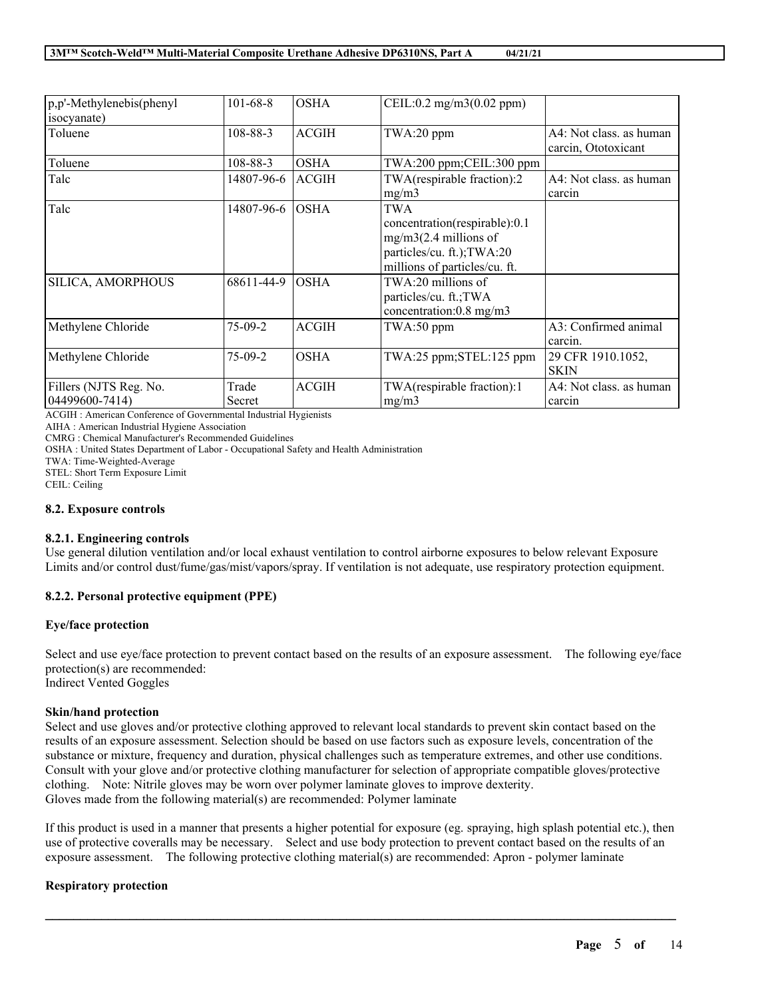| p,p'-Methylenebis(phenyl<br>isocyanate)  | $101 - 68 - 8$           | <b>OSHA</b>                | CEIL:0.2 mg/m3(0.02 ppm)                                                                                                                             |                                                |
|------------------------------------------|--------------------------|----------------------------|------------------------------------------------------------------------------------------------------------------------------------------------------|------------------------------------------------|
| Toluene                                  | 108-88-3                 | <b>ACGIH</b>               | $TWA:20$ ppm                                                                                                                                         | A4: Not class, as human<br>carcin, Ototoxicant |
| Toluene                                  | 108-88-3                 | <b>OSHA</b>                | $TWA:200$ ppm; $CEIL:300$ ppm                                                                                                                        |                                                |
| Talc                                     | 14807-96-6               | ACGIH                      | TWA(respirable fraction):2<br>mg/m3                                                                                                                  | A4: Not class. as human<br>carcin              |
| Talc<br>SILICA, AMORPHOUS                | 14807-96-6<br>68611-44-9 | <b>OSHA</b><br><b>OSHA</b> | TWA<br>concentration(respirable):0.1<br>$mg/m3(2.4$ millions of<br>particles/cu. ft.); TWA:20<br>millions of particles/cu. ft.<br>TWA:20 millions of |                                                |
|                                          |                          |                            | particles/cu. ft.; TWA<br>concentration:0.8 mg/m3                                                                                                    |                                                |
| Methylene Chloride                       | $75-09-2$                | <b>ACGIH</b>               | $TWA:50$ ppm                                                                                                                                         | A3: Confirmed animal<br>carcin.                |
| Methylene Chloride                       | $75-09-2$                | <b>OSHA</b>                | TWA:25 ppm;STEL:125 ppm                                                                                                                              | 29 CFR 1910.1052,<br><b>SKIN</b>               |
| Fillers (NJTS Reg. No.<br>04499600-7414) | Trade<br>Secret          | <b>ACGIH</b>               | TWA(respirable fraction):1<br>mg/m3                                                                                                                  | A4: Not class, as human<br>carcin              |

ACGIH : American Conference of Governmental Industrial Hygienists

AIHA : American Industrial Hygiene Association

CMRG : Chemical Manufacturer's Recommended Guidelines

OSHA : United States Department of Labor - Occupational Safety and Health Administration

TWA: Time-Weighted-Average

STEL: Short Term Exposure Limit

CEIL: Ceiling

## **8.2. Exposure controls**

## **8.2.1. Engineering controls**

Use general dilution ventilation and/or local exhaust ventilation to control airborne exposures to below relevant Exposure Limits and/or control dust/fume/gas/mist/vapors/spray. If ventilation is not adequate, use respiratory protection equipment.

## **8.2.2. Personal protective equipment (PPE)**

## **Eye/face protection**

Select and use eye/face protection to prevent contact based on the results of an exposure assessment. The following eye/face protection(s) are recommended: Indirect Vented Goggles

## **Skin/hand protection**

Select and use gloves and/or protective clothing approved to relevant local standards to prevent skin contact based on the results of an exposure assessment. Selection should be based on use factors such as exposure levels, concentration of the substance or mixture, frequency and duration, physical challenges such as temperature extremes, and other use conditions. Consult with your glove and/or protective clothing manufacturer for selection of appropriate compatible gloves/protective clothing. Note: Nitrile gloves may be worn over polymer laminate gloves to improve dexterity. Gloves made from the following material(s) are recommended: Polymer laminate

If this product is used in a manner that presents a higher potential for exposure (eg. spraying, high splash potential etc.), then use of protective coveralls may be necessary. Select and use body protection to prevent contact based on the results of an exposure assessment. The following protective clothing material(s) are recommended: Apron - polymer laminate

 $\mathcal{L}_\mathcal{L} = \mathcal{L}_\mathcal{L} = \mathcal{L}_\mathcal{L} = \mathcal{L}_\mathcal{L} = \mathcal{L}_\mathcal{L} = \mathcal{L}_\mathcal{L} = \mathcal{L}_\mathcal{L} = \mathcal{L}_\mathcal{L} = \mathcal{L}_\mathcal{L} = \mathcal{L}_\mathcal{L} = \mathcal{L}_\mathcal{L} = \mathcal{L}_\mathcal{L} = \mathcal{L}_\mathcal{L} = \mathcal{L}_\mathcal{L} = \mathcal{L}_\mathcal{L} = \mathcal{L}_\mathcal{L} = \mathcal{L}_\mathcal{L}$ 

## **Respiratory protection**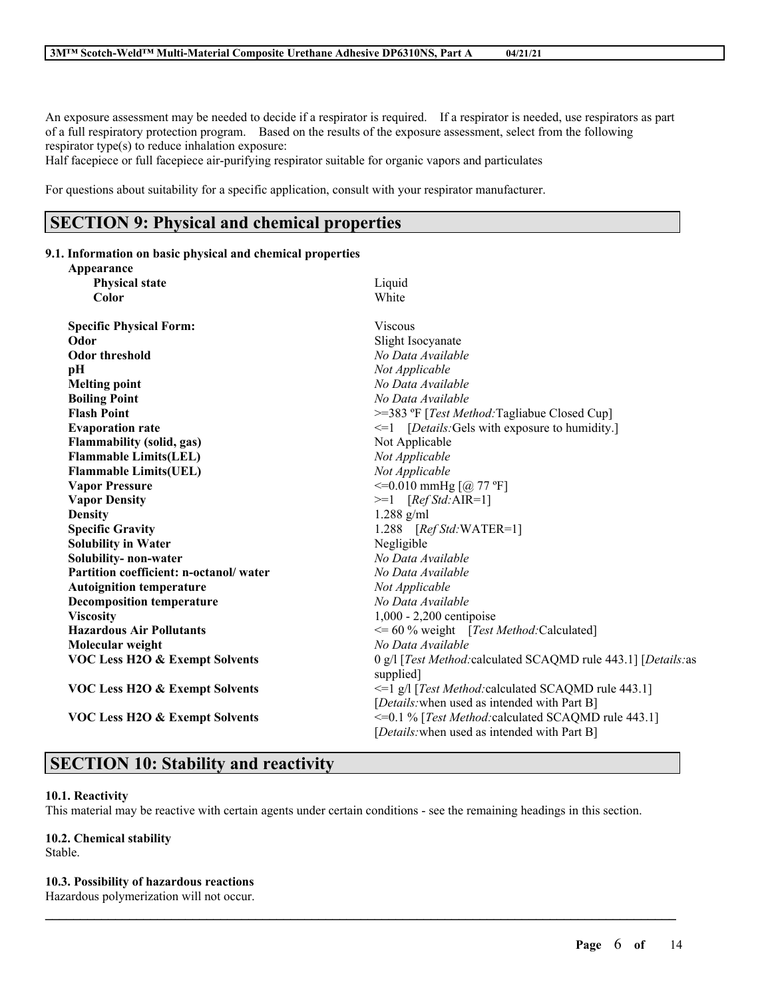An exposure assessment may be needed to decide if a respirator is required. If a respirator is needed, use respirators as part of a full respiratory protection program. Based on the results of the exposure assessment, select from the following respirator type(s) to reduce inhalation exposure:

Half facepiece or full facepiece air-purifying respirator suitable for organic vapors and particulates

For questions about suitability for a specific application, consult with your respirator manufacturer.

# **SECTION 9: Physical and chemical properties**

### **9.1. Information on basic physical and chemical properties**

| Appearance                                |                                                                             |
|-------------------------------------------|-----------------------------------------------------------------------------|
| <b>Physical state</b>                     | Liquid                                                                      |
| Color                                     | White                                                                       |
| <b>Specific Physical Form:</b>            | <b>Viscous</b>                                                              |
| Odor                                      | Slight Isocyanate                                                           |
| <b>Odor threshold</b>                     | No Data Available                                                           |
| pН                                        | Not Applicable                                                              |
| <b>Melting point</b>                      | No Data Available                                                           |
| <b>Boiling Point</b>                      | No Data Available                                                           |
| <b>Flash Point</b>                        | >=383 °F [Test Method:Tagliabue Closed Cup]                                 |
| <b>Evaporation rate</b>                   | $\leq 1$ [Details: Gels with exposure to humidity.]                         |
| <b>Flammability (solid, gas)</b>          | Not Applicable                                                              |
| <b>Flammable Limits(LEL)</b>              | Not Applicable                                                              |
| <b>Flammable Limits(UEL)</b>              | Not Applicable                                                              |
| <b>Vapor Pressure</b>                     | $\leq$ =0.010 mmHg [@ 77 °F]                                                |
| <b>Vapor Density</b>                      | $>=1$ [Ref Std:AIR=1]                                                       |
| <b>Density</b>                            | $1.288$ g/ml                                                                |
| <b>Specific Gravity</b>                   | 1.288 [Ref Std: WATER=1]                                                    |
| <b>Solubility in Water</b>                | Negligible                                                                  |
| Solubility- non-water                     | No Data Available                                                           |
| Partition coefficient: n-octanol/water    | No Data Available                                                           |
| <b>Autoignition temperature</b>           | Not Applicable                                                              |
| <b>Decomposition temperature</b>          | No Data Available                                                           |
| <b>Viscosity</b>                          | 1,000 - 2,200 centipoise                                                    |
| <b>Hazardous Air Pollutants</b>           | $\leq$ = 60 % weight [Test Method: Calculated]                              |
| Molecular weight                          | No Data Available                                                           |
| <b>VOC Less H2O &amp; Exempt Solvents</b> | 0 g/l [Test Method: calculated SCAQMD rule 443.1] [Details: as<br>supplied] |
| <b>VOC Less H2O &amp; Exempt Solvents</b> | $\leq$ 1 g/l [ <i>Test Method:</i> calculated SCAQMD rule 443.1]            |
|                                           | [Details: when used as intended with Part B]                                |
| <b>VOC Less H2O &amp; Exempt Solvents</b> | <= 0.1 % [Test Method: calculated SCAQMD rule 443.1]                        |
|                                           | [Details: when used as intended with Part B]                                |

# **SECTION 10: Stability and reactivity**

## **10.1. Reactivity**

This material may be reactive with certain agents under certain conditions - see the remaining headings in this section.

 $\mathcal{L}_\mathcal{L} = \mathcal{L}_\mathcal{L} = \mathcal{L}_\mathcal{L} = \mathcal{L}_\mathcal{L} = \mathcal{L}_\mathcal{L} = \mathcal{L}_\mathcal{L} = \mathcal{L}_\mathcal{L} = \mathcal{L}_\mathcal{L} = \mathcal{L}_\mathcal{L} = \mathcal{L}_\mathcal{L} = \mathcal{L}_\mathcal{L} = \mathcal{L}_\mathcal{L} = \mathcal{L}_\mathcal{L} = \mathcal{L}_\mathcal{L} = \mathcal{L}_\mathcal{L} = \mathcal{L}_\mathcal{L} = \mathcal{L}_\mathcal{L}$ 

## **10.2. Chemical stability**

Stable.

## **10.3. Possibility of hazardous reactions**

Hazardous polymerization will not occur.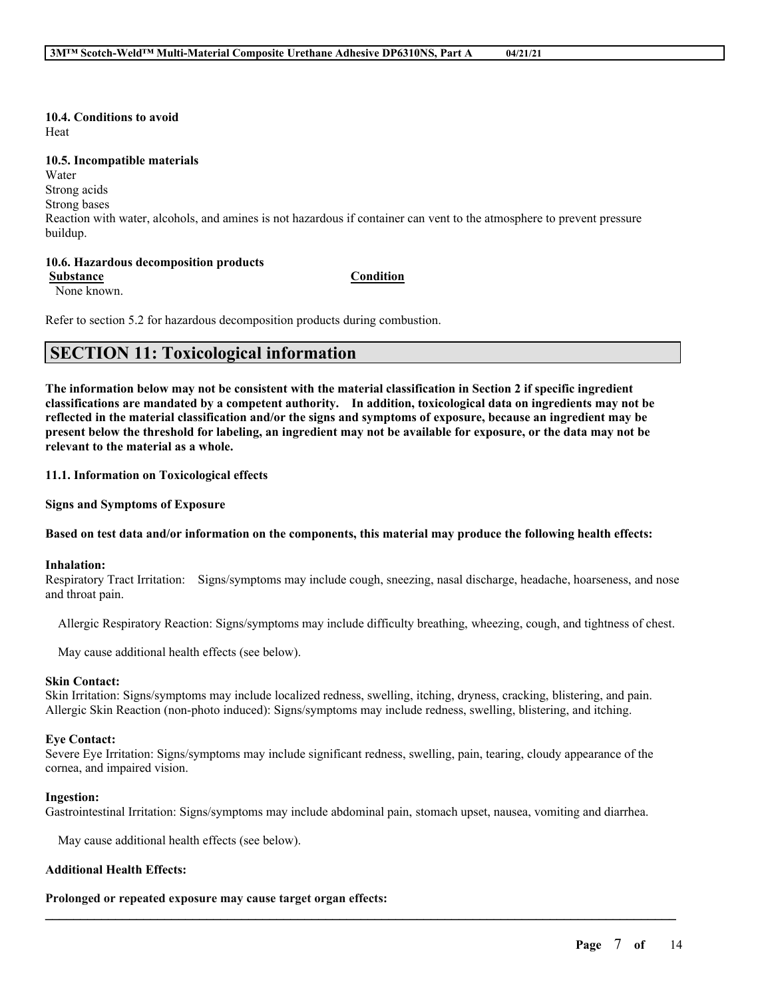**10.4. Conditions to avoid** Heat

**10.5. Incompatible materials**

Water

Strong acids

Strong bases

Reaction with water, alcohols, and amines is not hazardous if container can vent to the atmosphere to prevent pressure buildup.

## **10.6. Hazardous decomposition products**

**Substance Condition**

None known.

Refer to section 5.2 for hazardous decomposition products during combustion.

## **SECTION 11: Toxicological information**

The information below may not be consistent with the material classification in Section 2 if specific ingredient **classifications are mandated by a competent authority. In addition, toxicological data on ingredients may not be** reflected in the material classification and/or the signs and symptoms of exposure, because an ingredient may be present below the threshold for labeling, an ingredient may not be available for exposure, or the data may not be **relevant to the material as a whole.**

**11.1. Information on Toxicological effects**

**Signs and Symptoms of Exposure**

## Based on test data and/or information on the components, this material may produce the following health effects:

## **Inhalation:**

Respiratory Tract Irritation: Signs/symptoms may include cough, sneezing, nasal discharge, headache, hoarseness, and nose and throat pain.

Allergic Respiratory Reaction: Signs/symptoms may include difficulty breathing, wheezing, cough, and tightness of chest.

May cause additional health effects (see below).

## **Skin Contact:**

Skin Irritation: Signs/symptoms may include localized redness, swelling, itching, dryness, cracking, blistering, and pain. Allergic Skin Reaction (non-photo induced): Signs/symptoms may include redness, swelling, blistering, and itching.

## **Eye Contact:**

Severe Eye Irritation: Signs/symptoms may include significant redness, swelling, pain, tearing, cloudy appearance of the cornea, and impaired vision.

## **Ingestion:**

Gastrointestinal Irritation: Signs/symptoms may include abdominal pain, stomach upset, nausea, vomiting and diarrhea.

 $\mathcal{L}_\mathcal{L} = \mathcal{L}_\mathcal{L} = \mathcal{L}_\mathcal{L} = \mathcal{L}_\mathcal{L} = \mathcal{L}_\mathcal{L} = \mathcal{L}_\mathcal{L} = \mathcal{L}_\mathcal{L} = \mathcal{L}_\mathcal{L} = \mathcal{L}_\mathcal{L} = \mathcal{L}_\mathcal{L} = \mathcal{L}_\mathcal{L} = \mathcal{L}_\mathcal{L} = \mathcal{L}_\mathcal{L} = \mathcal{L}_\mathcal{L} = \mathcal{L}_\mathcal{L} = \mathcal{L}_\mathcal{L} = \mathcal{L}_\mathcal{L}$ 

May cause additional health effects (see below).

## **Additional Health Effects:**

## **Prolonged or repeated exposure may cause target organ effects:**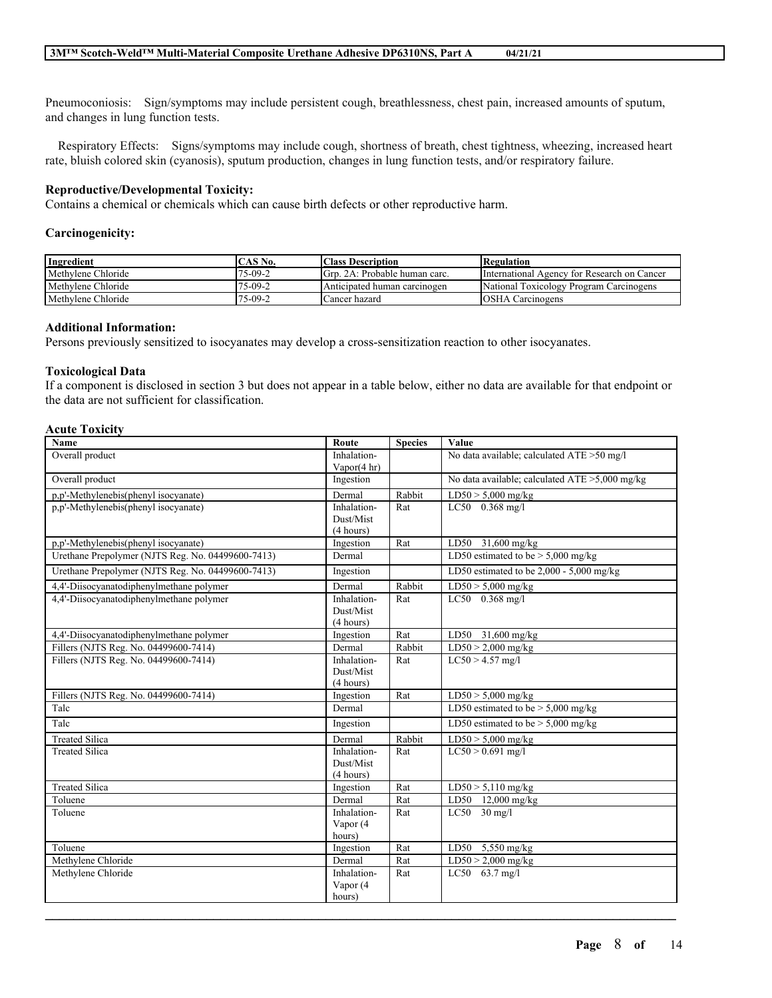Pneumoconiosis: Sign/symptoms may include persistent cough, breathlessness, chest pain, increased amounts of sputum, and changes in lung function tests.

Respiratory Effects: Signs/symptoms may include cough, shortness of breath, chest tightness, wheezing, increased heart rate, bluish colored skin (cyanosis), sputum production, changes in lung function tests, and/or respiratory failure.

## **Reproductive/Developmental Toxicity:**

Contains a chemical or chemicals which can cause birth defects or other reproductive harm.

#### **Carcinogenicity:**

| Ingredient         | CAS No. | <b>Class Description</b>       | Regulation                                  |
|--------------------|---------|--------------------------------|---------------------------------------------|
| Methylene Chloride | 75-09-2 | IGrp. 2A: Probable human carc. | International Agency for Research on Cancer |
| Methylene Chloride | 75-09-2 | Anticipated human carcinogen   | National Toxicology Program Carcinogens     |
| Methylene Chloride | 75-09-2 | Cancer hazard                  | <b>OSHA</b> Carcinogens                     |

#### **Additional Information:**

Persons previously sensitized to isocyanates may develop a cross-sensitization reaction to other isocyanates.

#### **Toxicological Data**

If a component is disclosed in section 3 but does not appear in a table below, either no data are available for that endpoint or the data are not sufficient for classification.

## **Acute Toxicity**

| Name                                              | Route                  | <b>Species</b> | Value                                          |
|---------------------------------------------------|------------------------|----------------|------------------------------------------------|
| Overall product                                   | Inhalation-            |                | No data available; calculated ATE > 50 mg/l    |
|                                                   | Vapor $(4 \text{ hr})$ |                |                                                |
| Overall product                                   | Ingestion              |                | No data available; calculated ATE >5,000 mg/kg |
| p,p'-Methylenebis(phenyl isocyanate)              | Dermal                 | Rabbit         | $LD50 > 5,000$ mg/kg                           |
| p,p'-Methylenebis(phenyl isocyanate)              | Inhalation-            | Rat            | LC50 0.368 mg/l                                |
|                                                   | Dust/Mist              |                |                                                |
|                                                   | (4 hours)              |                |                                                |
| p,p'-Methylenebis(phenyl isocyanate)              | Ingestion              | Rat            | LD50 31,600 mg/kg                              |
| Urethane Prepolymer (NJTS Reg. No. 04499600-7413) | Dermal                 |                | LD50 estimated to be $> 5,000$ mg/kg           |
| Urethane Prepolymer (NJTS Reg. No. 04499600-7413) | Ingestion              |                | LD50 estimated to be $2,000 - 5,000$ mg/kg     |
| 4,4'-Diisocyanatodiphenylmethane polymer          | Dermal                 | Rabbit         | $LD50 > 5,000$ mg/kg                           |
| 4,4'-Diisocyanatodiphenylmethane polymer          | Inhalation-            | Rat            | $LC50$ 0.368 mg/l                              |
|                                                   | Dust/Mist              |                |                                                |
|                                                   | (4 hours)              |                |                                                |
| 4,4'-Diisocyanatodiphenylmethane polymer          | Ingestion              | Rat            | LD50 31,600 mg/kg                              |
| Fillers (NJTS Reg. No. 04499600-7414)             | Dermal                 | Rabbit         | $LD50 > 2,000$ mg/kg                           |
| Fillers (NJTS Reg. No. 04499600-7414)             | Inhalation-            | Rat            | $LC50 > 4.57$ mg/l                             |
|                                                   | Dust/Mist              |                |                                                |
|                                                   | (4 hours)              |                |                                                |
| Fillers (NJTS Reg. No. 04499600-7414)             | Ingestion              | Rat            | $LD50 > 5,000$ mg/kg                           |
| Talc                                              | Dermal                 |                | LD50 estimated to be $> 5,000$ mg/kg           |
| Talc                                              | Ingestion              |                | LD50 estimated to be $> 5,000$ mg/kg           |
| <b>Treated Silica</b>                             | Dermal                 | Rabbit         | $LD50 > 5,000$ mg/kg                           |
| <b>Treated Silica</b>                             | Inhalation-            | Rat            | $LC50 > 0.691$ mg/l                            |
|                                                   | Dust/Mist              |                |                                                |
|                                                   | (4 hours)              |                |                                                |
| <b>Treated Silica</b>                             | Ingestion              | Rat            | $LD50 > 5,110$ mg/kg                           |
| Toluene                                           | Dermal                 | Rat            | LD50 12,000 mg/kg                              |
| Toluene                                           | Inhalation-            | Rat            | $LC50$ 30 mg/l                                 |
|                                                   | Vapor (4               |                |                                                |
|                                                   | hours)                 |                |                                                |
| Toluene                                           | Ingestion              | Rat            | LD50 5,550 mg/kg                               |
| Methylene Chloride                                | Dermal                 | Rat            | $LD50 > 2,000$ mg/kg                           |
| Methylene Chloride                                | Inhalation-            | Rat            | LC50 63.7 mg/l                                 |
|                                                   | Vapor (4               |                |                                                |
|                                                   | hours)                 |                |                                                |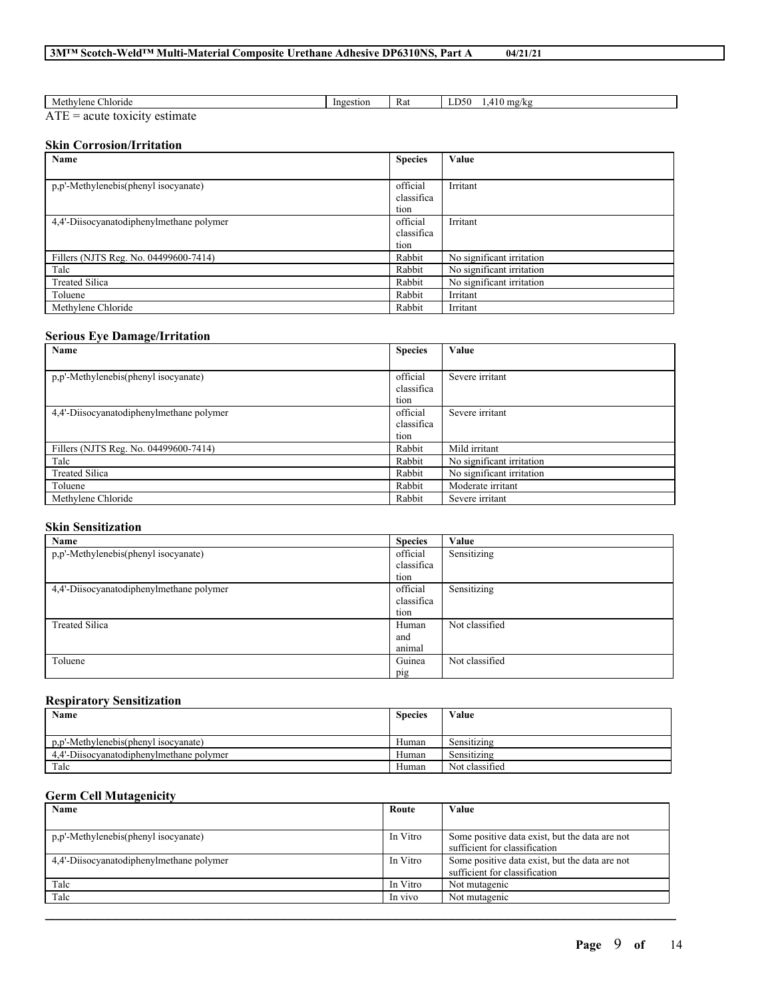| $\sim$<br>∠hloride<br>Methylene                                                                  | Ingestion | Rat | D50<br>mg/kg<br>$\lambda$<br>╌ |
|--------------------------------------------------------------------------------------------------|-----------|-----|--------------------------------|
| $\mathbf{r}$<br>AIL<br>.<br>◠<br>nate<br>чн.<br><br>* IC.<br>au<br>$\overline{\phantom{a}}$<br>. |           |     |                                |

## **Skin Corrosion/Irritation**

| Name                                     | <b>Species</b> | Value                     |
|------------------------------------------|----------------|---------------------------|
|                                          |                |                           |
| p,p'-Methylenebis(phenyl isocyanate)     | official       | Irritant                  |
|                                          | classifica     |                           |
|                                          | tion           |                           |
| 4,4'-Diisocyanatodiphenylmethane polymer | official       | Irritant                  |
|                                          | classifica     |                           |
|                                          | tion           |                           |
| Fillers (NJTS Reg. No. 04499600-7414)    | Rabbit         | No significant irritation |
| Talc                                     | Rabbit         | No significant irritation |
| <b>Treated Silica</b>                    | Rabbit         | No significant irritation |
| Toluene                                  | Rabbit         | Irritant                  |
| Methylene Chloride                       | Rabbit         | Irritant                  |

## **Serious Eye Damage/Irritation**

| Name                                     | <b>Species</b> | Value                     |
|------------------------------------------|----------------|---------------------------|
|                                          |                |                           |
| p,p'-Methylenebis(phenyl isocyanate)     | official       | Severe irritant           |
|                                          | classifica     |                           |
|                                          | tion           |                           |
| 4.4'-Diisocyanatodiphenylmethane polymer | official       | Severe irritant           |
|                                          | classifica     |                           |
|                                          | tion           |                           |
| Fillers (NJTS Reg. No. 04499600-7414)    | Rabbit         | Mild irritant             |
| Talc                                     | Rabbit         | No significant irritation |
| <b>Treated Silica</b>                    | Rabbit         | No significant irritation |
| Toluene                                  | Rabbit         | Moderate irritant         |
| Methylene Chloride                       | Rabbit         | Severe irritant           |

## **Skin Sensitization**

| Name                                     | <b>Species</b> | Value          |
|------------------------------------------|----------------|----------------|
| p,p'-Methylenebis(phenyl isocyanate)     | official       | Sensitizing    |
|                                          | classifica     |                |
|                                          | tion           |                |
| 4,4'-Diisocyanatodiphenylmethane polymer | official       | Sensitizing    |
|                                          | classifica     |                |
|                                          | tion           |                |
| <b>Treated Silica</b>                    | Human          | Not classified |
|                                          | and            |                |
|                                          | animal         |                |
| Toluene                                  | Guinea         | Not classified |
|                                          | pig            |                |

## **Respiratory Sensitization**

| Name                                     | <b>Species</b> | Value            |
|------------------------------------------|----------------|------------------|
|                                          |                |                  |
| p.p'-Methylenebis(phenyl isocyanate)     | Human          | .<br>Sensitizing |
| 4.4'-Diisocyanatodiphenylmethane polymer | Human          | Sensitizing      |
| Talc                                     | Human          | Not classified   |

## **Germ Cell Mutagenicity**

| Name                                     | Route    | Value                                          |
|------------------------------------------|----------|------------------------------------------------|
|                                          |          |                                                |
| p,p'-Methylenebis(phenyl isocyanate)     | In Vitro | Some positive data exist, but the data are not |
|                                          |          | sufficient for classification                  |
| 4.4'-Diisocyanatodiphenylmethane polymer | In Vitro | Some positive data exist, but the data are not |
|                                          |          | sufficient for classification                  |
| Talc                                     | In Vitro | Not mutagenic                                  |
| Talc                                     | In vivo  | Not mutagenic                                  |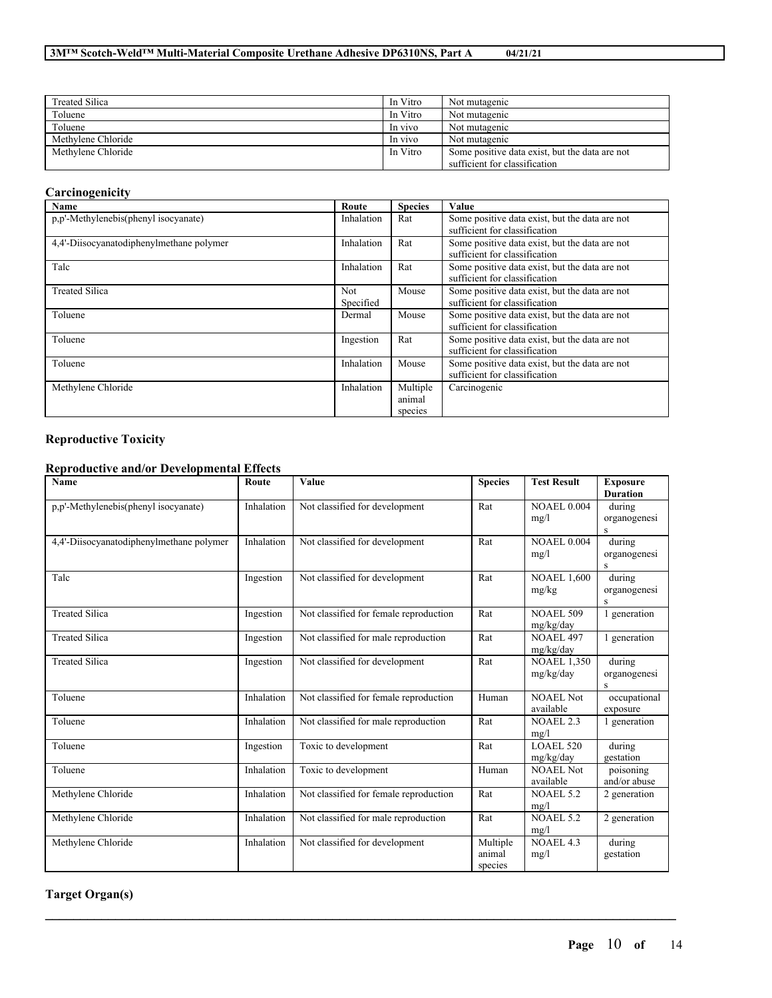| <b>Treated Silica</b> | In Vitro | Not mutagenic                                  |
|-----------------------|----------|------------------------------------------------|
| Toluene               | In Vitro | Not mutagenic                                  |
| Toluene               | In vivo  | Not mutagenic                                  |
| Methylene Chloride    | In vivo  | Not mutagenic                                  |
| Methylene Chloride    | In Vitro | Some positive data exist, but the data are not |
|                       |          | sufficient for classification                  |

# **Carcinogenicity**

| Name                                     | Route                   | <b>Species</b> | Value                                                                           |
|------------------------------------------|-------------------------|----------------|---------------------------------------------------------------------------------|
| p,p'-Methylenebis(phenyl isocyanate)     | Inhalation              | Rat            | Some positive data exist, but the data are not<br>sufficient for classification |
| 4,4'-Diisocyanatodiphenylmethane polymer | Inhalation              | Rat            | Some positive data exist, but the data are not<br>sufficient for classification |
| Talc                                     | Inhalation              | Rat            | Some positive data exist, but the data are not<br>sufficient for classification |
| <b>Treated Silica</b>                    | <b>Not</b><br>Specified | Mouse          | Some positive data exist, but the data are not<br>sufficient for classification |
| Toluene                                  | Dermal                  | Mouse          | Some positive data exist, but the data are not<br>sufficient for classification |
| Toluene                                  | Ingestion               | Rat            | Some positive data exist, but the data are not<br>sufficient for classification |
| Toluene                                  | Inhalation              | Mouse          | Some positive data exist, but the data are not<br>sufficient for classification |
| Methylene Chloride                       | Inhalation              | Multiple       | Carcinogenic                                                                    |
|                                          |                         | animal         |                                                                                 |
|                                          |                         | species        |                                                                                 |

## **Reproductive Toxicity**

## **Reproductive and/or Developmental Effects**

| Name                                     | Route      | Value                                  | <b>Species</b>                | <b>Test Result</b>              | <b>Exposure</b><br><b>Duration</b>     |
|------------------------------------------|------------|----------------------------------------|-------------------------------|---------------------------------|----------------------------------------|
| p,p'-Methylenebis(phenyl isocyanate)     | Inhalation | Not classified for development         | Rat                           | <b>NOAEL 0.004</b><br>mg/l      | during<br>organogenesi<br>S            |
| 4.4'-Diisocyanatodiphenylmethane polymer | Inhalation | Not classified for development         | Rat                           | <b>NOAEL 0.004</b><br>mg/l      | during<br>organogenesi<br>$\mathbf{s}$ |
| Talc                                     | Ingestion  | Not classified for development         | Rat                           | <b>NOAEL 1,600</b><br>mg/kg     | during<br>organogenesi<br>S            |
| <b>Treated Silica</b>                    | Ingestion  | Not classified for female reproduction | Rat                           | <b>NOAEL 509</b><br>mg/kg/day   | 1 generation                           |
| <b>Treated Silica</b>                    | Ingestion  | Not classified for male reproduction   | Rat                           | <b>NOAEL 497</b><br>mg/kg/day   | 1 generation                           |
| <b>Treated Silica</b>                    | Ingestion  | Not classified for development         | Rat                           | <b>NOAEL 1.350</b><br>mg/kg/day | during<br>organogenesi<br>S            |
| Toluene                                  | Inhalation | Not classified for female reproduction | Human                         | NOAEL Not<br>available          | occupational<br>exposure               |
| Toluene                                  | Inhalation | Not classified for male reproduction   | Rat                           | <b>NOAEL 2.3</b><br>mg/l        | 1 generation                           |
| Toluene                                  | Ingestion  | Toxic to development                   | Rat                           | <b>LOAEL 520</b><br>mg/kg/day   | during<br>gestation                    |
| Toluene                                  | Inhalation | Toxic to development                   | Human                         | <b>NOAEL Not</b><br>available   | poisoning<br>and/or abuse              |
| Methylene Chloride                       | Inhalation | Not classified for female reproduction | Rat                           | <b>NOAEL 5.2</b><br>mg/l        | 2 generation                           |
| Methylene Chloride                       | Inhalation | Not classified for male reproduction   | Rat                           | <b>NOAEL 5.2</b><br>mg/l        | 2 generation                           |
| Methylene Chloride                       | Inhalation | Not classified for development         | Multiple<br>animal<br>species | <b>NOAEL 4.3</b><br>mg/l        | during<br>gestation                    |

 $\mathcal{L}_\mathcal{L} = \mathcal{L}_\mathcal{L} = \mathcal{L}_\mathcal{L} = \mathcal{L}_\mathcal{L} = \mathcal{L}_\mathcal{L} = \mathcal{L}_\mathcal{L} = \mathcal{L}_\mathcal{L} = \mathcal{L}_\mathcal{L} = \mathcal{L}_\mathcal{L} = \mathcal{L}_\mathcal{L} = \mathcal{L}_\mathcal{L} = \mathcal{L}_\mathcal{L} = \mathcal{L}_\mathcal{L} = \mathcal{L}_\mathcal{L} = \mathcal{L}_\mathcal{L} = \mathcal{L}_\mathcal{L} = \mathcal{L}_\mathcal{L}$ 

**Target Organ(s)**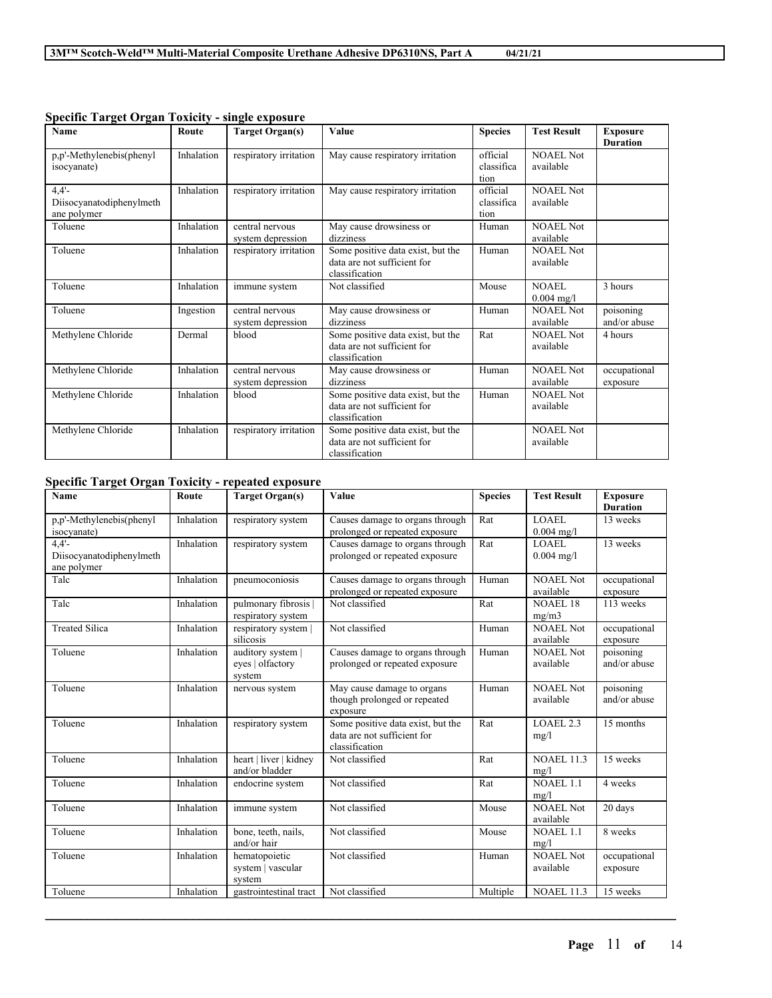| <b>Name</b>                                     | Route      | <b>Target Organ(s)</b>               | Value                                                                              | <b>Species</b>                 | <b>Test Result</b>            | <b>Exposure</b><br><b>Duration</b> |
|-------------------------------------------------|------------|--------------------------------------|------------------------------------------------------------------------------------|--------------------------------|-------------------------------|------------------------------------|
| p,p'-Methylenebis(phenyl<br>isocyanate)         | Inhalation | respiratory irritation               | May cause respiratory irritation                                                   | official<br>classifica<br>tion | <b>NOAEL Not</b><br>available |                                    |
| 4.4'<br>Diisocyanatodiphenylmeth<br>ane polymer | Inhalation | respiratory irritation               | May cause respiratory irritation                                                   | official<br>classifica<br>tion | <b>NOAEL Not</b><br>available |                                    |
| Toluene                                         | Inhalation | central nervous<br>system depression | May cause drowsiness or<br>dizziness                                               | Human                          | <b>NOAEL Not</b><br>available |                                    |
| Toluene                                         | Inhalation | respiratory irritation               | Some positive data exist, but the<br>data are not sufficient for<br>classification | Human                          | <b>NOAEL Not</b><br>available |                                    |
| Toluene                                         | Inhalation | immune system                        | Not classified                                                                     | Mouse                          | NOAEL.<br>$0.004$ mg/l        | 3 hours                            |
| Toluene                                         | Ingestion  | central nervous<br>system depression | May cause drowsiness or<br>dizziness                                               | Human                          | <b>NOAEL Not</b><br>available | poisoning<br>and/or abuse          |
| Methylene Chloride                              | Dermal     | blood                                | Some positive data exist, but the<br>data are not sufficient for<br>classification | Rat                            | <b>NOAEL Not</b><br>available | 4 hours                            |
| Methylene Chloride                              | Inhalation | central nervous<br>system depression | May cause drowsiness or<br>dizziness                                               | Human                          | NOAEL Not<br>available        | occupational<br>exposure           |
| Methylene Chloride                              | Inhalation | blood                                | Some positive data exist, but the<br>data are not sufficient for<br>classification | Human                          | <b>NOAEL Not</b><br>available |                                    |
| Methylene Chloride                              | Inhalation | respiratory irritation               | Some positive data exist, but the<br>data are not sufficient for<br>classification |                                | <b>NOAEL Not</b><br>available |                                    |

#### **Specific Target Organ Toxicity - single exposure**

## **Specific Target Organ Toxicity - repeated exposure**

| Name                                                | Route      | <b>Target Organ(s)</b>                        | Value                                                                              | <b>Species</b> | <b>Test Result</b>            | <b>Exposure</b><br><b>Duration</b> |
|-----------------------------------------------------|------------|-----------------------------------------------|------------------------------------------------------------------------------------|----------------|-------------------------------|------------------------------------|
| p,p'-Methylenebis(phenyl<br>isocyanate)             | Inhalation | respiratory system                            | Causes damage to organs through<br>prolonged or repeated exposure                  | Rat            | <b>LOAEL</b><br>$0.004$ mg/l  | 13 weeks                           |
| $4.4'$ -<br>Diisocyanatodiphenylmeth<br>ane polymer | Inhalation | respiratory system                            | Causes damage to organs through<br>prolonged or repeated exposure                  | Rat            | <b>LOAEL</b><br>$0.004$ mg/l  | 13 weeks                           |
| Talc                                                | Inhalation | pneumoconiosis                                | Causes damage to organs through<br>prolonged or repeated exposure                  | Human          | <b>NOAEL Not</b><br>available | occupational<br>exposure           |
| Talc                                                | Inhalation | pulmonary fibrosis<br>respiratory system      | Not classified                                                                     | Rat            | <b>NOAEL 18</b><br>mg/m3      | 113 weeks                          |
| <b>Treated Silica</b>                               | Inhalation | respiratory system  <br>silicosis             | Not classified                                                                     | Human          | NOAEL Not<br>available        | occupational<br>exposure           |
| Toluene                                             | Inhalation | auditory system<br>eves   olfactory<br>system | Causes damage to organs through<br>prolonged or repeated exposure                  | Human          | NOAEL Not<br>available        | poisoning<br>and/or abuse          |
| Toluene                                             | Inhalation | nervous system                                | May cause damage to organs<br>though prolonged or repeated<br>exposure             | Human          | <b>NOAEL Not</b><br>available | poisoning<br>and/or abuse          |
| Toluene                                             | Inhalation | respiratory system                            | Some positive data exist, but the<br>data are not sufficient for<br>classification | Rat            | LOAEL 2.3<br>mg/l             | 15 months                          |
| Toluene                                             | Inhalation | heart   liver   kidney<br>and/or bladder      | Not classified                                                                     | Rat            | <b>NOAEL 11.3</b><br>mg/l     | 15 weeks                           |
| Toluene                                             | Inhalation | endocrine system                              | Not classified                                                                     | Rat            | $NOAEL$ 1.1<br>mg/l           | 4 weeks                            |
| Toluene                                             | Inhalation | immune system                                 | Not classified                                                                     | Mouse          | <b>NOAEL Not</b><br>available | 20 days                            |
| Toluene                                             | Inhalation | bone, teeth, nails,<br>and/or hair            | Not classified                                                                     | Mouse          | <b>NOAEL 1.1</b><br>mg/l      | 8 weeks                            |
| Toluene                                             | Inhalation | hematopoietic<br>system   vascular<br>system  | Not classified                                                                     | Human          | <b>NOAEL Not</b><br>available | occupational<br>exposure           |
| Toluene                                             | Inhalation | gastrointestinal tract                        | Not classified                                                                     | Multiple       | <b>NOAEL 11.3</b>             | 15 weeks                           |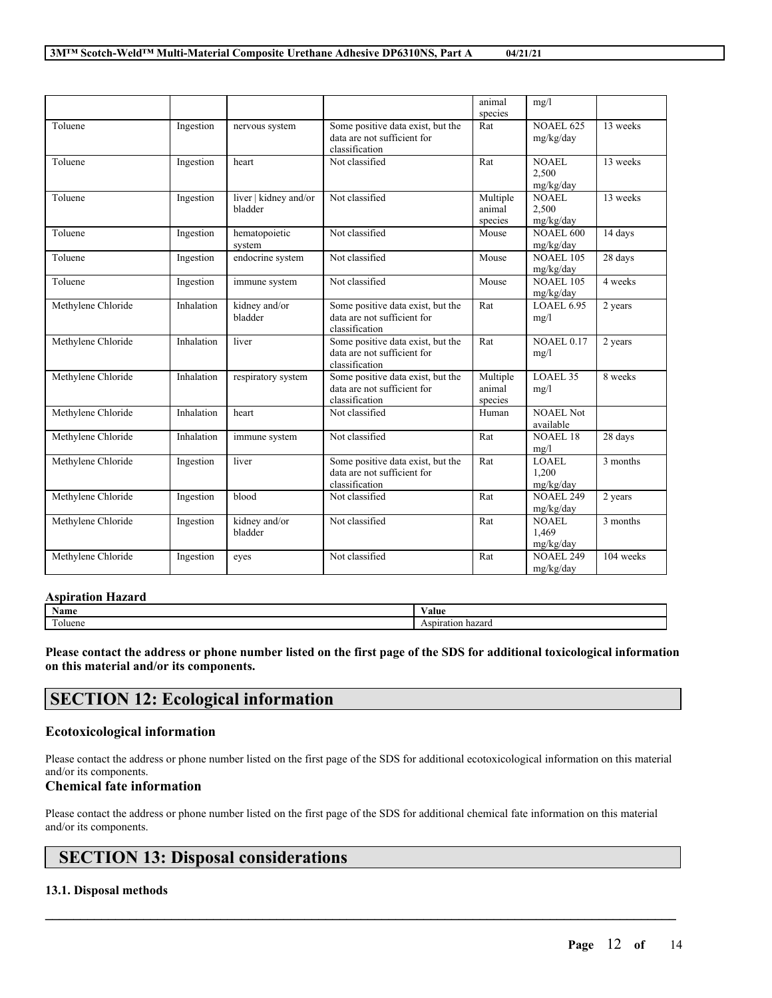|                    |            |                                  |                                                                                    | animal                        | mg/l                               |           |
|--------------------|------------|----------------------------------|------------------------------------------------------------------------------------|-------------------------------|------------------------------------|-----------|
|                    |            |                                  |                                                                                    | species                       |                                    |           |
| Toluene            | Ingestion  | nervous system                   | Some positive data exist, but the<br>data are not sufficient for<br>classification | Rat                           | <b>NOAEL 625</b><br>mg/kg/day      | 13 weeks  |
| Toluene            | Ingestion  | heart                            | Not classified                                                                     | Rat                           | NOAEL<br>2,500<br>mg/kg/day        | 13 weeks  |
| Toluene            | Ingestion  | liver   kidney and/or<br>bladder | Not classified                                                                     | Multiple<br>animal<br>species | NOAEL.<br>2,500<br>mg/kg/day       | 13 weeks  |
| Toluene            | Ingestion  | hematopoietic<br>system          | Not classified                                                                     | Mouse                         | <b>NOAEL 600</b><br>mg/kg/day      | 14 days   |
| Toluene            | Ingestion  | endocrine system                 | Not classified                                                                     | Mouse                         | <b>NOAEL 105</b><br>mg/kg/day      | 28 days   |
| Toluene            | Ingestion  | immune system                    | Not classified                                                                     | Mouse                         | <b>NOAEL 105</b><br>mg/kg/day      | 4 weeks   |
| Methylene Chloride | Inhalation | kidney and/or<br>bladder         | Some positive data exist, but the<br>data are not sufficient for<br>classification | Rat                           | <b>LOAEL 6.95</b><br>mg/l          | 2 years   |
| Methylene Chloride | Inhalation | liver                            | Some positive data exist, but the<br>data are not sufficient for<br>classification | Rat                           | <b>NOAEL 0.17</b><br>mg/l          | 2 years   |
| Methylene Chloride | Inhalation | respiratory system               | Some positive data exist, but the<br>data are not sufficient for<br>classification | Multiple<br>animal<br>species | LOAEL 35<br>mg/l                   | 8 weeks   |
| Methylene Chloride | Inhalation | heart                            | Not classified                                                                     | Human                         | <b>NOAEL Not</b><br>available      |           |
| Methylene Chloride | Inhalation | immune system                    | Not classified                                                                     | Rat                           | <b>NOAEL 18</b><br>mg/l            | 28 days   |
| Methylene Chloride | Ingestion  | liver                            | Some positive data exist, but the<br>data are not sufficient for<br>classification | Rat                           | LOAEL<br>1,200<br>mg/kg/day        | 3 months  |
| Methylene Chloride | Ingestion  | blood                            | Not classified                                                                     | Rat                           | <b>NOAEL 249</b><br>mg/kg/day      | 2 years   |
| Methylene Chloride | Ingestion  | kidney and/or<br>bladder         | Not classified                                                                     | Rat                           | <b>NOAEL</b><br>1,469<br>mg/kg/day | 3 months  |
| Methylene Chloride | Ingestion  | eves                             | Not classified                                                                     | Rat                           | <b>NOAEL 249</b><br>mg/kg/day      | 104 weeks |

## **Aspiration Hazard**

| NT.<br>Name      | 'alue      |
|------------------|------------|
| <b>CONTINUES</b> | hazarc     |
| oluene           | Aspiration |

Please contact the address or phone number listed on the first page of the SDS for additional toxicological information **on this material and/or its components.**

## **SECTION 12: Ecological information**

## **Ecotoxicological information**

Please contact the address or phone number listed on the first page of the SDS for additional ecotoxicological information on this material and/or its components.

## **Chemical fate information**

Please contact the address or phone number listed on the first page of the SDS for additional chemical fate information on this material and/or its components.

 $\mathcal{L}_\mathcal{L} = \mathcal{L}_\mathcal{L} = \mathcal{L}_\mathcal{L} = \mathcal{L}_\mathcal{L} = \mathcal{L}_\mathcal{L} = \mathcal{L}_\mathcal{L} = \mathcal{L}_\mathcal{L} = \mathcal{L}_\mathcal{L} = \mathcal{L}_\mathcal{L} = \mathcal{L}_\mathcal{L} = \mathcal{L}_\mathcal{L} = \mathcal{L}_\mathcal{L} = \mathcal{L}_\mathcal{L} = \mathcal{L}_\mathcal{L} = \mathcal{L}_\mathcal{L} = \mathcal{L}_\mathcal{L} = \mathcal{L}_\mathcal{L}$ 

# **SECTION 13: Disposal considerations**

## **13.1. Disposal methods**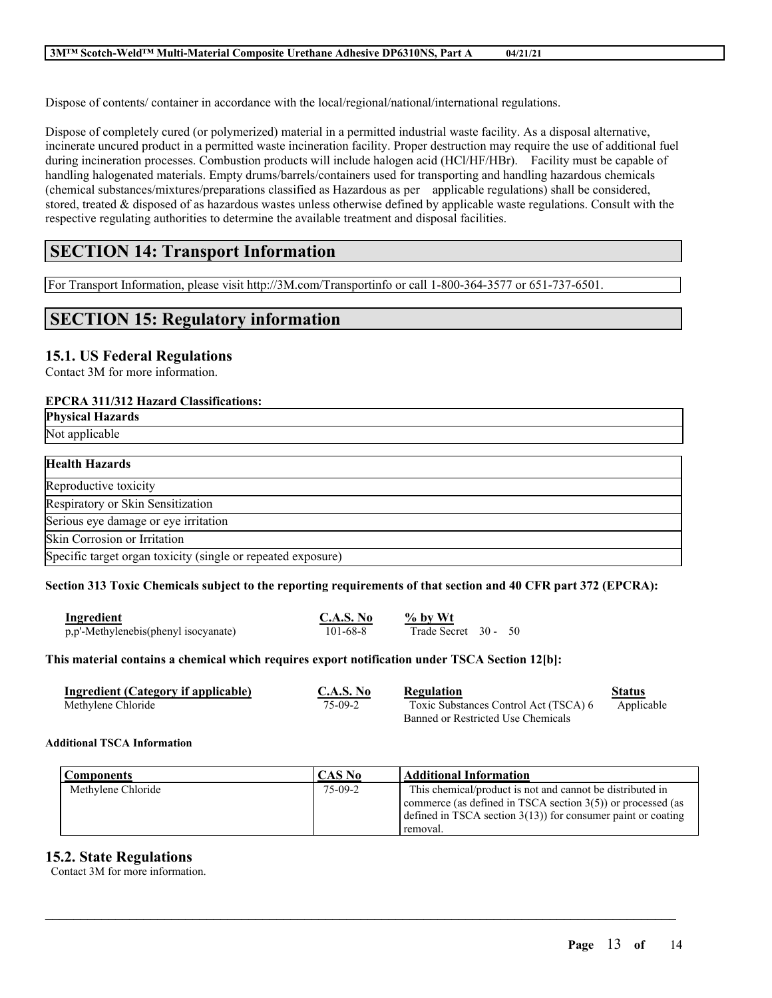Dispose of contents/ container in accordance with the local/regional/national/international regulations.

Dispose of completely cured (or polymerized) material in a permitted industrial waste facility. As a disposal alternative, incinerate uncured product in a permitted waste incineration facility. Proper destruction may require the use of additional fuel during incineration processes. Combustion products will include halogen acid (HCl/HF/HBr). Facility must be capable of handling halogenated materials. Empty drums/barrels/containers used for transporting and handling hazardous chemicals (chemical substances/mixtures/preparations classified as Hazardous as per applicable regulations) shall be considered, stored, treated & disposed of as hazardous wastes unless otherwise defined by applicable waste regulations. Consult with the respective regulating authorities to determine the available treatment and disposal facilities.

# **SECTION 14: Transport Information**

For Transport Information, please visit http://3M.com/Transportinfo or call 1-800-364-3577 or 651-737-6501.

## **SECTION 15: Regulatory information**

## **15.1. US Federal Regulations**

Contact 3M for more information.

## **EPCRA 311/312 Hazard Classifications:**

| <b>Physical Hazards</b>                                      |
|--------------------------------------------------------------|
| Not applicable                                               |
|                                                              |
| <b>Health Hazards</b>                                        |
| Reproductive toxicity                                        |
| Respiratory or Skin Sensitization                            |
| Serious eye damage or eye irritation                         |
| Skin Corrosion or Irritation                                 |
| Specific target organ toxicity (single or repeated exposure) |

## Section 313 Toxic Chemicals subject to the reporting requirements of that section and 40 CFR part 372 (EPCRA):

| Ingredient                           | C.A.S. No | $%$ by Wt            |  |  |
|--------------------------------------|-----------|----------------------|--|--|
| p,p'-Methylenebis(phenyl isocyanate) | 101-68-8  | Trade Secret 30 - 50 |  |  |

## **This material contains a chemical which requires export notification under TSCA Section 12[b]:**

| Ingredient (Category if applicable) | C.A.S. No | Regulation                            | Status     |
|-------------------------------------|-----------|---------------------------------------|------------|
| Methylene Chloride                  | 75-09-2   | Toxic Substances Control Act (TSCA) 6 | Applicable |
|                                     |           | Banned or Restricted Use Chemicals    |            |

## **Additional TSCA Information**

| Components         | CAS No  | <b>Additional Information</b>                                                                                                                                                                            |
|--------------------|---------|----------------------------------------------------------------------------------------------------------------------------------------------------------------------------------------------------------|
| Methylene Chloride | 75-09-2 | This chemical/product is not and cannot be distributed in<br>commerce (as defined in TSCA section $3(5)$ ) or processed (as<br>defined in TSCA section $3(13)$ for consumer paint or coating<br>removal. |

 $\mathcal{L}_\mathcal{L} = \mathcal{L}_\mathcal{L} = \mathcal{L}_\mathcal{L} = \mathcal{L}_\mathcal{L} = \mathcal{L}_\mathcal{L} = \mathcal{L}_\mathcal{L} = \mathcal{L}_\mathcal{L} = \mathcal{L}_\mathcal{L} = \mathcal{L}_\mathcal{L} = \mathcal{L}_\mathcal{L} = \mathcal{L}_\mathcal{L} = \mathcal{L}_\mathcal{L} = \mathcal{L}_\mathcal{L} = \mathcal{L}_\mathcal{L} = \mathcal{L}_\mathcal{L} = \mathcal{L}_\mathcal{L} = \mathcal{L}_\mathcal{L}$ 

## **15.2. State Regulations**

Contact 3M for more information.